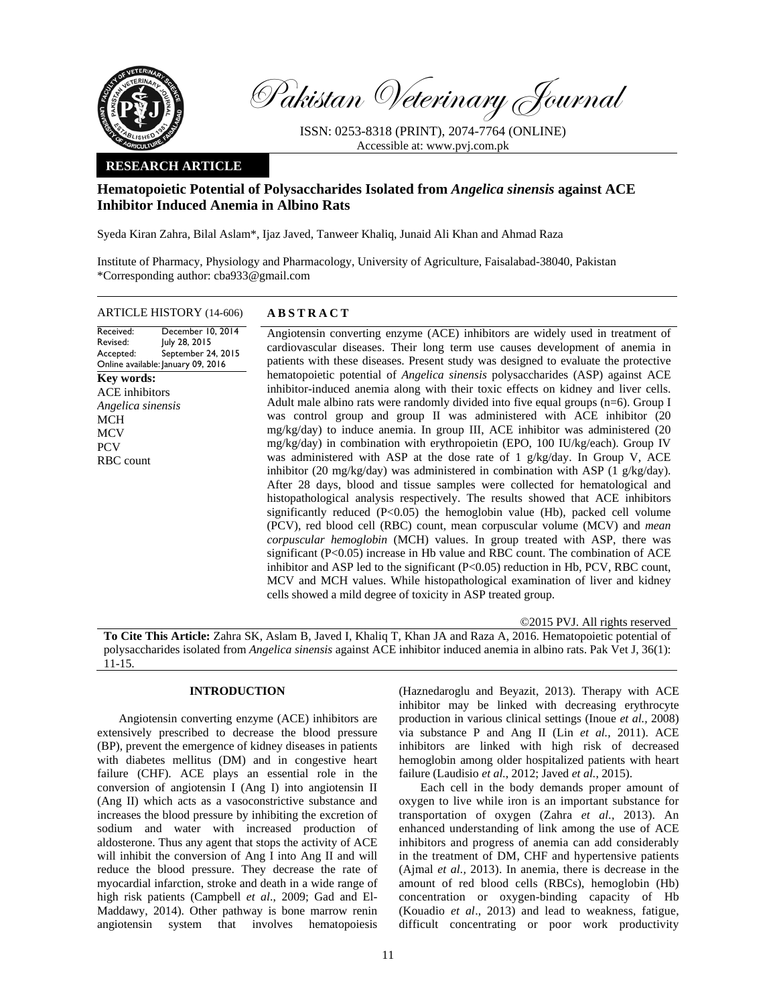

Pakistan Veterinary Journal

ISSN: 0253-8318 (PRINT), 2074-7764 (ONLINE) Accessible at: www.pvj.com.pk

## **RESEARCH ARTICLE**

# **Hematopoietic Potential of Polysaccharides Isolated from** *Angelica sinensis* **against ACE Inhibitor Induced Anemia in Albino Rats**

Syeda Kiran Zahra, Bilal Aslam\*, Ijaz Javed, Tanweer Khaliq, Junaid Ali Khan and Ahmad Raza

Institute of Pharmacy, Physiology and Pharmacology, University of Agriculture, Faisalabad-38040, Pakistan \*Corresponding author: cba933@gmail.com

ARTICLE HISTORY (14-606) **ABSTRACT** 

Received: Revised: Accepted: Online available: January 09, 2016 December 10, 2014 July 28, 2015 September 24, 2015 **Key words:**  ACE inhibitors *Angelica sinensis*  MCH **MCV** PCV RBC count

 Angiotensin converting enzyme (ACE) inhibitors are widely used in treatment of cardiovascular diseases. Their long term use causes development of anemia in patients with these diseases. Present study was designed to evaluate the protective hematopoietic potential of *Angelica sinensis* polysaccharides (ASP) against ACE inhibitor-induced anemia along with their toxic effects on kidney and liver cells. Adult male albino rats were randomly divided into five equal groups (n=6). Group I was control group and group II was administered with ACE inhibitor (20 mg/kg/day) to induce anemia. In group III, ACE inhibitor was administered (20 mg/kg/day) in combination with erythropoietin (EPO, 100 IU/kg/each). Group IV was administered with ASP at the dose rate of 1 g/kg/day. In Group V, ACE inhibitor (20 mg/kg/day) was administered in combination with ASP (1 g/kg/day). After 28 days, blood and tissue samples were collected for hematological and histopathological analysis respectively. The results showed that ACE inhibitors significantly reduced  $(P<0.05)$  the hemoglobin value  $(Hb)$ , packed cell volume (PCV), red blood cell (RBC) count, mean corpuscular volume (MCV) and *mean corpuscular hemoglobin* (MCH) values. In group treated with ASP, there was significant (P<0.05) increase in Hb value and RBC count. The combination of ACE inhibitor and ASP led to the significant (P<0.05) reduction in Hb, PCV, RBC count, MCV and MCH values. While histopathological examination of liver and kidney cells showed a mild degree of toxicity in ASP treated group.

©2015 PVJ. All rights reserved

**To Cite This Article:** Zahra SK, Aslam B, Javed I, Khaliq T, Khan JA and Raza A, 2016. Hematopoietic potential of polysaccharides isolated from *Angelica sinensis* against ACE inhibitor induced anemia in albino rats. Pak Vet J, 36(1): 11-15.

# **INTRODUCTION**

Angiotensin converting enzyme (ACE) inhibitors are extensively prescribed to decrease the blood pressure (BP), prevent the emergence of kidney diseases in patients with diabetes mellitus (DM) and in congestive heart failure (CHF). ACE plays an essential role in the conversion of angiotensin I (Ang I) into angiotensin II (Ang II) which acts as a vasoconstrictive substance and increases the blood pressure by inhibiting the excretion of sodium and water with increased production of aldosterone. Thus any agent that stops the activity of ACE will inhibit the conversion of Ang I into Ang II and will reduce the blood pressure. They decrease the rate of myocardial infarction, stroke and death in a wide range of high risk patients (Campbell *et al*., 2009; Gad and El-Maddawy, 2014). Other pathway is bone marrow renin angiotensin system that involves hematopoiesis

(Haznedaroglu and Beyazit, 2013). Therapy with ACE inhibitor may be linked with decreasing erythrocyte production in various clinical settings (Inoue *et al.,* 2008) via substance P and Ang II (Lin *et al.,* 2011). ACE inhibitors are linked with high risk of decreased hemoglobin among older hospitalized patients with heart failure (Laudisio *et al.*, 2012; Javed *et al.*, 2015).

Each cell in the body demands proper amount of oxygen to live while iron is an important substance for transportation of oxygen (Zahra *et al.,* 2013). An enhanced understanding of link among the use of ACE inhibitors and progress of anemia can add considerably in the treatment of DM, CHF and hypertensive patients (Ajmal *et al.,* 2013). In anemia, there is decrease in the amount of red blood cells (RBCs), hemoglobin (Hb) concentration or oxygen-binding capacity of Hb (Kouadio *et al*., 2013) and lead to weakness, fatigue, difficult concentrating or poor work productivity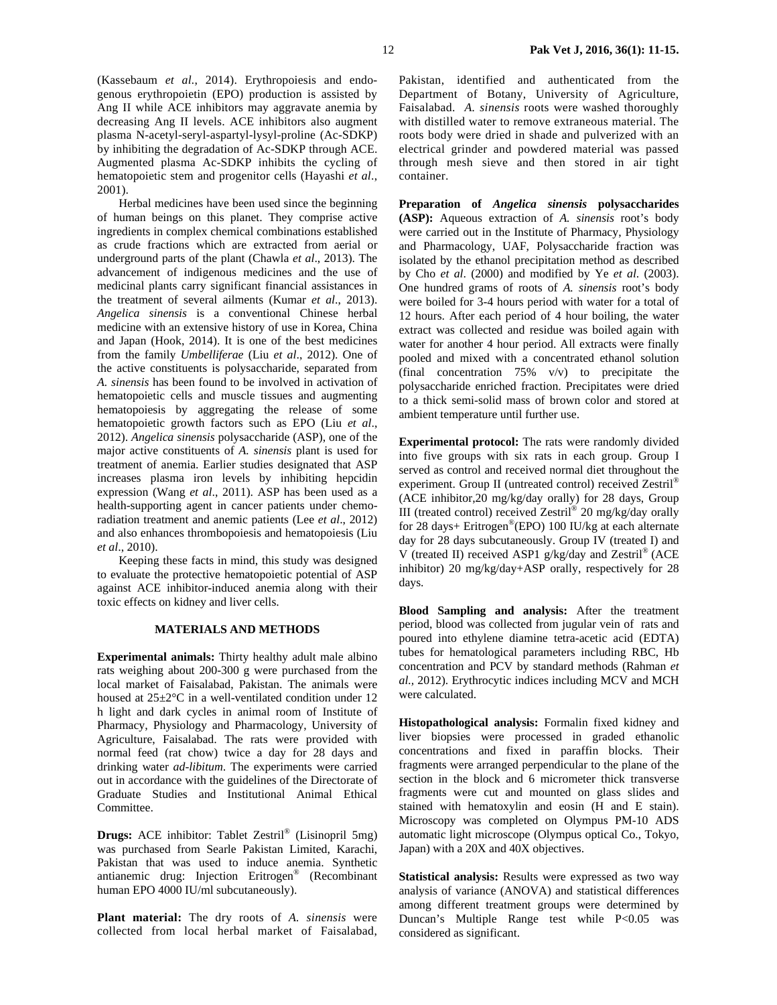(Kassebaum *et al.*, 2014). Erythropoiesis and endogenous erythropoietin (EPO) production is assisted by Ang II while ACE inhibitors may aggravate anemia by decreasing Ang II levels. ACE inhibitors also augment plasma N-acetyl-seryl-aspartyl-lysyl-proline (Ac-SDKP) by inhibiting the degradation of Ac-SDKP through ACE. Augmented plasma Ac-SDKP inhibits the cycling of hematopoietic stem and progenitor cells (Hayashi *et al*., 2001).

Herbal medicines have been used since the beginning of human beings on this planet. They comprise active ingredients in complex chemical combinations established as crude fractions which are extracted from aerial or underground parts of the plant (Chawla *et al*., 2013). The advancement of indigenous medicines and the use of medicinal plants carry significant financial assistances in the treatment of several ailments (Kumar *et al*., 2013). *Angelica sinensis* is a conventional Chinese herbal medicine with an extensive history of use in Korea, China and Japan (Hook, 2014). It is one of the best medicines from the family *Umbelliferae* (Liu *et al*., 2012). One of the active constituents is polysaccharide, separated from *A. sinensis* has been found to be involved in activation of hematopoietic cells and muscle tissues and augmenting hematopoiesis by aggregating the release of some hematopoietic growth factors such as EPO (Liu *et al*., 2012). *Angelica sinensis* polysaccharide (ASP), one of the major active constituents of *A. sinensis* plant is used for treatment of anemia. Earlier studies designated that ASP increases plasma iron levels by inhibiting hepcidin expression (Wang *et al*., 2011). ASP has been used as a health-supporting agent in cancer patients under chemoradiation treatment and anemic patients (Lee *et al*., 2012) and also enhances thrombopoiesis and hematopoiesis (Liu *et al*., 2010).

Keeping these facts in mind, this study was designed to evaluate the protective hematopoietic potential of ASP against ACE inhibitor-induced anemia along with their toxic effects on kidney and liver cells.

### **MATERIALS AND METHODS**

**Experimental animals:** Thirty healthy adult male albino rats weighing about 200-300 g were purchased from the local market of Faisalabad, Pakistan. The animals were housed at 25±2°C in a well-ventilated condition under 12 h light and dark cycles in animal room of Institute of Pharmacy, Physiology and Pharmacology, University of Agriculture, Faisalabad. The rats were provided with normal feed (rat chow) twice a day for 28 days and drinking water *ad-libitum*. The experiments were carried out in accordance with the guidelines of the Directorate of Graduate Studies and Institutional Animal Ethical Committee.

**Drugs:** ACE inhibitor: Tablet Zestril® (Lisinopril 5mg) was purchased from Searle Pakistan Limited, Karachi, Pakistan that was used to induce anemia. Synthetic antianemic drug: Injection Eritrogen® (Recombinant human EPO 4000 IU/ml subcutaneously).

**Plant material:** The dry roots of *A. sinensis* were collected from local herbal market of Faisalabad,

Pakistan, identified and authenticated from the Department of Botany, University of Agriculture, Faisalabad. *A. sinensis* roots were washed thoroughly with distilled water to remove extraneous material. The roots body were dried in shade and pulverized with an electrical grinder and powdered material was passed through mesh sieve and then stored in air tight container.

**Preparation of** *Angelica sinensis* **polysaccharides (ASP):** Aqueous extraction of *A. sinensis* root's body were carried out in the Institute of Pharmacy, Physiology and Pharmacology, UAF, Polysaccharide fraction was isolated by the ethanol precipitation method as described by Cho *et al*. (2000) and modified by Ye *et al*. (2003). One hundred grams of roots of *A. sinensis* root's body were boiled for 3-4 hours period with water for a total of 12 hours. After each period of 4 hour boiling, the water extract was collected and residue was boiled again with water for another 4 hour period. All extracts were finally pooled and mixed with a concentrated ethanol solution (final concentration 75% v/v) to precipitate the polysaccharide enriched fraction. Precipitates were dried to a thick semi-solid mass of brown color and stored at ambient temperature until further use.

**Experimental protocol:** The rats were randomly divided into five groups with six rats in each group. Group I served as control and received normal diet throughout the experiment. Group II (untreated control) received Zestril® (ACE inhibitor,20 mg/kg/day orally) for 28 days, Group III (treated control) received Zestril® 20 mg/kg/day orally for 28 days+ Eritrogen<sup>®</sup>(EPO) 100 IU/kg at each alternate day for 28 days subcutaneously. Group IV (treated I) and V (treated II) received ASP1 g/kg/day and Zestril® (ACE inhibitor) 20 mg/kg/day+ASP orally, respectively for 28 days.

**Blood Sampling and analysis:** After the treatment period, blood was collected from jugular vein of rats and poured into ethylene diamine tetra-acetic acid (EDTA) tubes for hematological parameters including RBC, Hb concentration and PCV by standard methods (Rahman *et al.,* 2012). Erythrocytic indices including MCV and MCH were calculated.

**Histopathological analysis:** Formalin fixed kidney and liver biopsies were processed in graded ethanolic concentrations and fixed in paraffin blocks. Their fragments were arranged perpendicular to the plane of the section in the block and 6 micrometer thick transverse fragments were cut and mounted on glass slides and stained with hematoxylin and eosin (H and E stain). Microscopy was completed on Olympus PM-10 ADS automatic light microscope (Olympus optical Co., Tokyo, Japan) with a 20X and 40X objectives.

**Statistical analysis:** Results were expressed as two way analysis of variance (ANOVA) and statistical differences among different treatment groups were determined by Duncan's Multiple Range test while P<0.05 was considered as significant.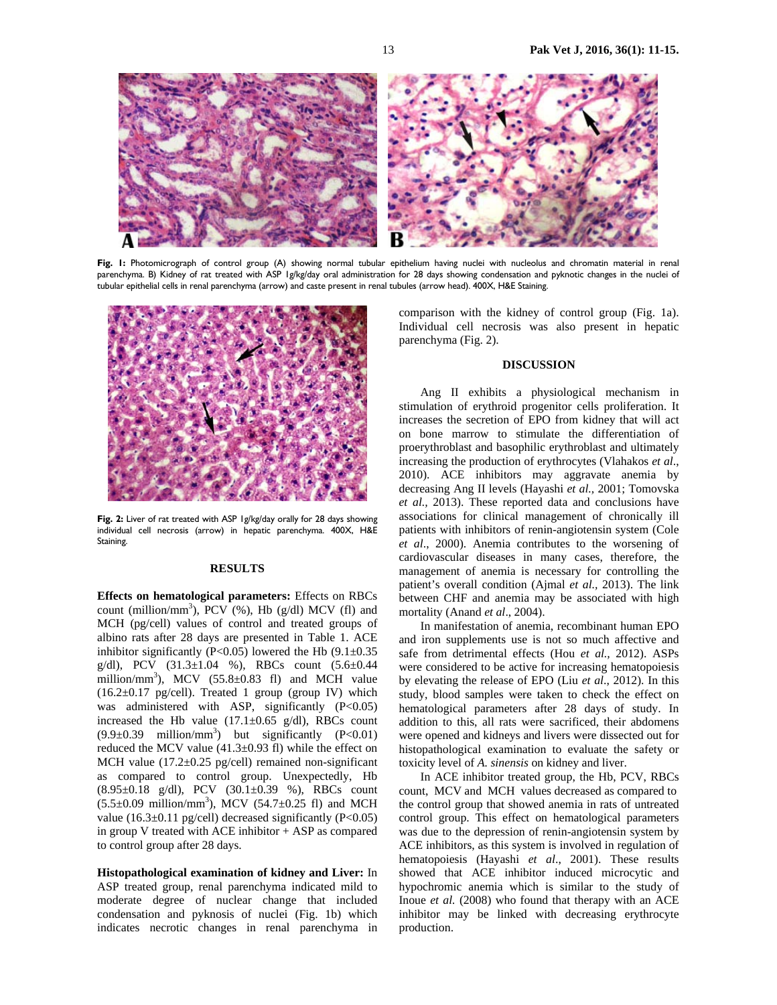

Fig. I: Photomicrograph of control group (A) showing normal tubular epithelium having nuclei with nucleolus and chromatin material in renal parenchyma. B) Kidney of rat treated with ASP 1g/kg/day oral administration for 28 days showing condensation and pyknotic changes in the nuclei of tubular epithelial cells in renal parenchyma (arrow) and caste present in renal tubules (arrow head). 400X, H&E Staining.



**Fig. 2:** Liver of rat treated with ASP 1g/kg/day orally for 28 days showing individual cell necrosis (arrow) in hepatic parenchyma. 400X, H&E Staining.

#### **RESULTS**

**Effects on hematological parameters:** Effects on RBCs count (million/mm<sup>3</sup>), PCV  $(\%)$ , Hb  $(g/d)$  MCV (fl) and MCH (pg/cell) values of control and treated groups of albino rats after 28 days are presented in Table 1. ACE inhibitor significantly (P<0.05) lowered the Hb  $(9.1 \pm 0.35)$ g/dl), PCV (31.3±1.04 %), RBCs count (5.6±0.44 million/mm<sup>3</sup>), MCV  $(55.8 \pm 0.83 \text{ fl})$  and MCH value  $(16.2\pm0.17 \text{ pg/cell})$ . Treated 1 group (group IV) which was administered with ASP, significantly  $(P<0.05)$ increased the Hb value  $(17.1 \pm 0.65 \text{ g/dl})$ , RBCs count  $(9.9\pm0.39 \text{ million/mm}^3)$  but significantly  $(P<0.01)$ reduced the MCV value (41.3±0.93 fl) while the effect on MCH value  $(17.2\pm0.25 \text{ pg/cell})$  remained non-significant as compared to control group. Unexpectedly, Hb  $(8.95\pm0.18 \text{ g/dl})$ , PCV  $(30.1\pm0.39 \text{ %})$ , RBCs count  $(5.5 \pm 0.09 \text{ million/mm}^3)$ , MCV  $(54.7 \pm 0.25 \text{ fl})$  and MCH value (16.3±0.11 pg/cell) decreased significantly (P<0.05) in group V treated with ACE inhibitor + ASP as compared to control group after 28 days.

**Histopathological examination of kidney and Liver:** In ASP treated group, renal parenchyma indicated mild to moderate degree of nuclear change that included condensation and pyknosis of nuclei (Fig. 1b) which indicates necrotic changes in renal parenchyma in

comparison with the kidney of control group (Fig. 1a). Individual cell necrosis was also present in hepatic parenchyma (Fig. 2).

#### **DISCUSSION**

Ang II exhibits a physiological mechanism in stimulation of erythroid progenitor cells proliferation. It increases the secretion of EPO from kidney that will act on bone marrow to stimulate the differentiation of proerythroblast and basophilic erythroblast and ultimately increasing the production of erythrocytes (Vlahakos *et al*., 2010). ACE inhibitors may aggravate anemia by decreasing Ang II levels (Hayashi *et al.,* 2001; Tomovska *et al.,* 2013). These reported data and conclusions have associations for clinical management of chronically ill patients with inhibitors of renin-angiotensin system (Cole *et al*., 2000). Anemia contributes to the worsening of cardiovascular diseases in many cases, therefore, the management of anemia is necessary for controlling the patient's overall condition (Ajmal *et al.,* 2013). The link between CHF and anemia may be associated with high mortality (Anand *et al*., 2004).

In manifestation of anemia, recombinant human EPO and iron supplements use is not so much affective and safe from detrimental effects (Hou *et al.,* 2012). ASPs were considered to be active for increasing hematopoiesis by elevating the release of EPO (Liu *et al*., 2012). In this study, blood samples were taken to check the effect on hematological parameters after 28 days of study. In addition to this, all rats were sacrificed, their abdomens were opened and kidneys and livers were dissected out for histopathological examination to evaluate the safety or toxicity level of *A. sinensis* on kidney and liver.

In ACE inhibitor treated group, the Hb, PCV, RBCs count, MCV and MCH values decreased as compared to the control group that showed anemia in rats of untreated control group. This effect on hematological parameters was due to the depression of renin-angiotensin system by ACE inhibitors, as this system is involved in regulation of hematopoiesis (Hayashi *et al*., 2001). These results showed that ACE inhibitor induced microcytic and hypochromic anemia which is similar to the study of Inoue *et al.* (2008) who found that therapy with an ACE inhibitor may be linked with decreasing erythrocyte production.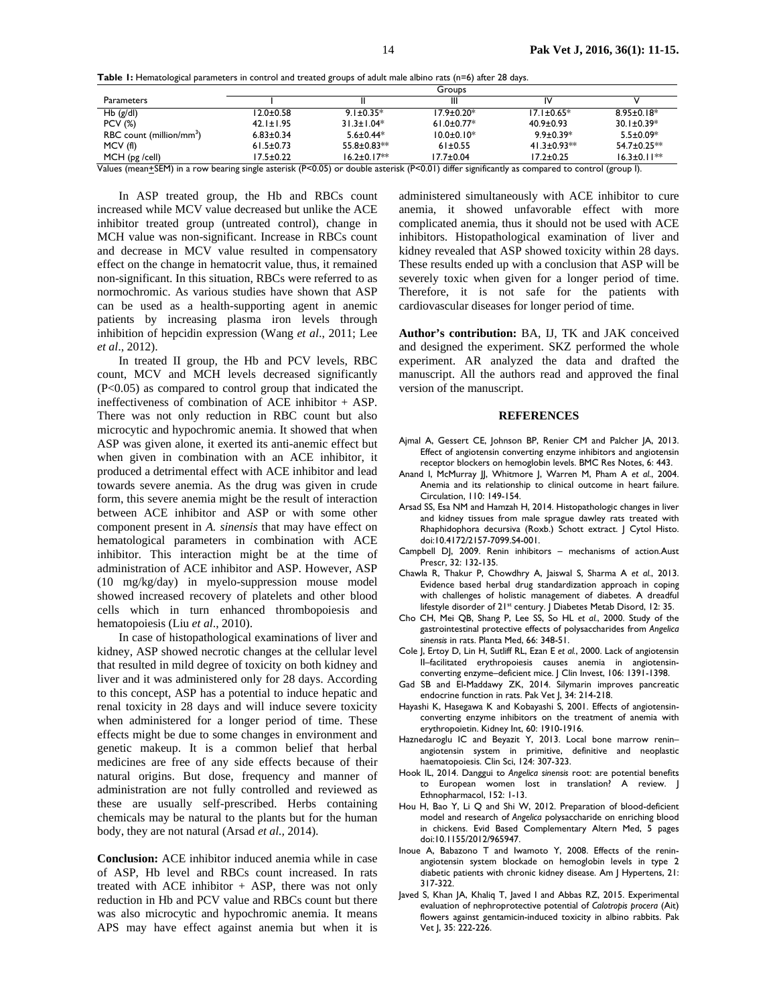|  | Table 1: Hematological parameters in control and treated groups of adult male albino rats (n=6) after 28 days. |  |  |  |  |  |  |  |  |  |
|--|----------------------------------------------------------------------------------------------------------------|--|--|--|--|--|--|--|--|--|
|--|----------------------------------------------------------------------------------------------------------------|--|--|--|--|--|--|--|--|--|

|                                      | Groups          |                   |                  |                      |                   |  |  |  |
|--------------------------------------|-----------------|-------------------|------------------|----------------------|-------------------|--|--|--|
| <b>Parameters</b>                    |                 |                   | Ш                | ıν                   |                   |  |  |  |
| $Hb$ (g/dl)                          | 12.0±0.58       | $9.1 \pm 0.35*$   | $17.9 \pm 0.20*$ | $17.1 \pm 0.65*$     | $8.95 \pm 0.18*$  |  |  |  |
| <b>PCV (%)</b>                       | $42.1 \pm 1.95$ | $31.3 \pm 1.04*$  | $61.0 \pm 0.77*$ | $40.9 \pm 0.93$      | $30.1 \pm 0.39*$  |  |  |  |
| RBC count (million/mm <sup>3</sup> ) | $6.83 \pm 0.34$ | $5.6 \pm 0.44*$   | $10.0 \pm 0.10*$ | $9.9 \pm 0.39*$      | $5.5 \pm 0.09*$   |  |  |  |
| MCV(f)                               | $61.5 \pm 0.73$ | $55.8 \pm 0.83**$ | $61 \pm 0.55$    | 41.3 $\pm$ 0.93 $**$ | $54.7 \pm 0.25**$ |  |  |  |
| $MCH$ (pg /cell)<br>$- - - - -$      | 17.5±0.22       | $16.2 \pm 0.17**$ | $17.7 \pm 0.04$  | $17.2 \pm 0.25$      | $16.3 \pm 0.11**$ |  |  |  |

Values (mean+SEM) in a row bearing single asterisk (P<0.05) or double asterisk (P<0.01) differ significantly as compared to control (group I).

In ASP treated group, the Hb and RBCs count increased while MCV value decreased but unlike the ACE inhibitor treated group (untreated control), change in MCH value was non-significant. Increase in RBCs count and decrease in MCV value resulted in compensatory effect on the change in hematocrit value, thus, it remained non-significant. In this situation, RBCs were referred to as normochromic. As various studies have shown that ASP can be used as a health-supporting agent in anemic patients by increasing plasma iron levels through inhibition of hepcidin expression (Wang *et al*., 2011; Lee *et al*., 2012).

In treated II group, the Hb and PCV levels, RBC count, MCV and MCH levels decreased significantly (P<0.05) as compared to control group that indicated the ineffectiveness of combination of ACE inhibitor + ASP. There was not only reduction in RBC count but also microcytic and hypochromic anemia. It showed that when ASP was given alone, it exerted its anti-anemic effect but when given in combination with an ACE inhibitor, it produced a detrimental effect with ACE inhibitor and lead towards severe anemia. As the drug was given in crude form, this severe anemia might be the result of interaction between ACE inhibitor and ASP or with some other component present in *A. sinensis* that may have effect on hematological parameters in combination with ACE inhibitor. This interaction might be at the time of administration of ACE inhibitor and ASP. However, ASP (10 mg/kg/day) in myelo-suppression mouse model showed increased recovery of platelets and other blood cells which in turn enhanced thrombopoiesis and hematopoiesis (Liu *et al*., 2010).

In case of histopathological examinations of liver and kidney, ASP showed necrotic changes at the cellular level that resulted in mild degree of toxicity on both kidney and liver and it was administered only for 28 days. According to this concept, ASP has a potential to induce hepatic and renal toxicity in 28 days and will induce severe toxicity when administered for a longer period of time. These effects might be due to some changes in environment and genetic makeup. It is a common belief that herbal medicines are free of any side effects because of their natural origins. But dose, frequency and manner of administration are not fully controlled and reviewed as these are usually self-prescribed. Herbs containing chemicals may be natural to the plants but for the human body, they are not natural (Arsad *et al.,* 2014).

**Conclusion:** ACE inhibitor induced anemia while in case of ASP, Hb level and RBCs count increased. In rats treated with ACE inhibitor + ASP, there was not only reduction in Hb and PCV value and RBCs count but there was also microcytic and hypochromic anemia. It means APS may have effect against anemia but when it is

administered simultaneously with ACE inhibitor to cure anemia, it showed unfavorable effect with more complicated anemia, thus it should not be used with ACE inhibitors. Histopathological examination of liver and kidney revealed that ASP showed toxicity within 28 days. These results ended up with a conclusion that ASP will be severely toxic when given for a longer period of time. Therefore, it is not safe for the patients with cardiovascular diseases for longer period of time.

**Author's contribution:** BA, IJ, TK and JAK conceived and designed the experiment. SKZ performed the whole experiment. AR analyzed the data and drafted the manuscript. All the authors read and approved the final version of the manuscript.

#### **REFERENCES**

- Ajmal A, Gessert CE, Johnson BP, Renier CM and Palcher JA, 2013. Effect of angiotensin converting enzyme inhibitors and angiotensin receptor blockers on hemoglobin levels. BMC Res Notes, 6: 443.
- Anand I, McMurray JJ, Whitmore J, Warren M, Pham A *et al*., 2004. Anemia and its relationship to clinical outcome in heart failure. Circulation, 110: 149-154.
- Arsad SS, Esa NM and Hamzah H, 2014. Histopathologic changes in liver and kidney tissues from male sprague dawley rats treated with Rhaphidophora decursiva (Roxb.) Schott extract. J Cytol Histo. doi:10.4172/2157-7099.S4-001.
- Campbell DJ, 2009. Renin inhibitors mechanisms of action.Aust Prescr, 32: 132-135.
- Chawla R, Thakur P, Chowdhry A, Jaiswal S, Sharma A *et al.*, 2013. Evidence based herbal drug standardization approach in coping with challenges of holistic management of diabetes. A dreadful lifestyle disorder of 21<sup>st</sup> century. | Diabetes Metab Disord, 12: 35.
- Cho CH, Mei QB, Shang P, Lee SS, So HL *et al.*, 2000. Study of the gastrointestinal protective effects of polysaccharides from *Angelica sinensis* in rats. Planta Med, 66: 348-51.
- Cole J, Ertoy D, Lin H, Sutliff RL, Ezan E *et al.*, 2000. Lack of angiotensin II–facilitated erythropoiesis causes anemia in angiotensinconverting enzyme–deficient mice. J Clin Invest, 106: 1391-1398.
- Gad SB and El-Maddawy ZK, 2014. Silymarin improves pancreatic endocrine function in rats. Pak Vet J, 34: 214-218.
- Hayashi K, Hasegawa K and Kobayashi S, 2001. Effects of angiotensinconverting enzyme inhibitors on the treatment of anemia with erythropoietin. Kidney Int, 60: 1910-1916.
- Haznedaroglu IC and Beyazit Y, 2013. Local bone marrow renin– angiotensin system in primitive, definitive and neoplastic haematopoiesis. Clin Sci, 124: 307-323.
- Hook IL, 2014. Danggui to *Angelica sinensis* root: are potential benefits to European women lost in translation? A review. J Ethnopharmacol, 152: 1-13.
- Hou H, Bao Y, Li Q and Shi W, 2012. Preparation of blood-deficient model and research of *Angelica* polysaccharide on enriching blood in chickens. Evid Based Complementary Altern Med, 5 pages doi:10.1155/2012/965947.
- Inoue A, Babazono T and Iwamoto Y, 2008. Effects of the reninangiotensin system blockade on hemoglobin levels in type 2 diabetic patients with chronic kidney disease. Am J Hypertens, 21: 317-322.
- Javed S, Khan JA, Khaliq T, Javed I and Abbas RZ, 2015. Experimental evaluation of nephroprotective potential of *Calotropis procera* (Ait) flowers against gentamicin-induced toxicity in albino rabbits. Pak Vet J, 35: 222-226.